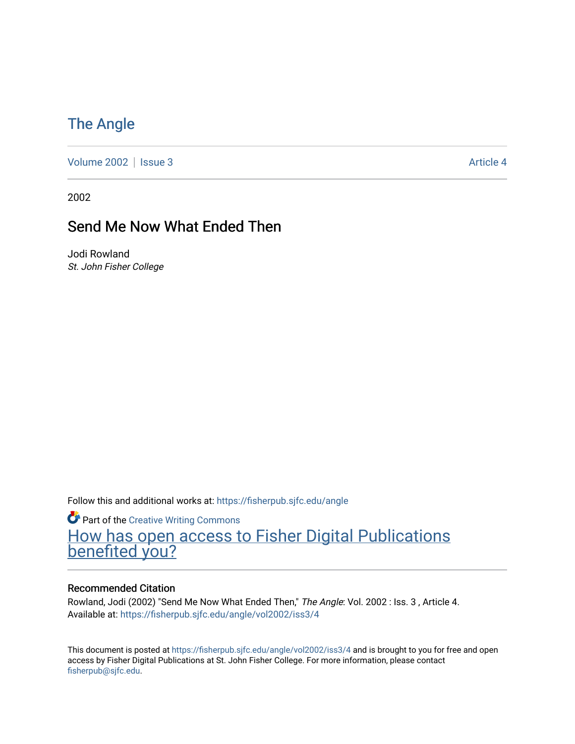## [The Angle](https://fisherpub.sjfc.edu/angle)

[Volume 2002](https://fisherpub.sjfc.edu/angle/vol2002) | [Issue 3](https://fisherpub.sjfc.edu/angle/vol2002/iss3) Article 4

2002

### Send Me Now What Ended Then

Jodi Rowland St. John Fisher College

Follow this and additional works at: [https://fisherpub.sjfc.edu/angle](https://fisherpub.sjfc.edu/angle?utm_source=fisherpub.sjfc.edu%2Fangle%2Fvol2002%2Fiss3%2F4&utm_medium=PDF&utm_campaign=PDFCoverPages)

**Part of the Creative Writing Commons** [How has open access to Fisher Digital Publications](https://docs.google.com/forms/d/14zrnDfH9d1wcdq8oG_-gFabAsxfcH5claltx85ZWyTg/viewform?entry.1394608989=https://fisherpub.sjfc.edu/angle/vol2002/iss3/4%3Chttps://docs.google.com/forms/d/14zrnDfH9d1wcdq8oG_-gFabAsxfcH5claltx85ZWyTg/viewform?entry.1394608989=%7bhttps://fisherpub.sjfc.edu/angle/vol2002/iss3/4%7d) [benefited you?](https://docs.google.com/forms/d/14zrnDfH9d1wcdq8oG_-gFabAsxfcH5claltx85ZWyTg/viewform?entry.1394608989=https://fisherpub.sjfc.edu/angle/vol2002/iss3/4%3Chttps://docs.google.com/forms/d/14zrnDfH9d1wcdq8oG_-gFabAsxfcH5claltx85ZWyTg/viewform?entry.1394608989=%7bhttps://fisherpub.sjfc.edu/angle/vol2002/iss3/4%7d)

#### Recommended Citation

Rowland, Jodi (2002) "Send Me Now What Ended Then," The Angle: Vol. 2002 : Iss. 3, Article 4. Available at: [https://fisherpub.sjfc.edu/angle/vol2002/iss3/4](https://fisherpub.sjfc.edu/angle/vol2002/iss3/4?utm_source=fisherpub.sjfc.edu%2Fangle%2Fvol2002%2Fiss3%2F4&utm_medium=PDF&utm_campaign=PDFCoverPages)

This document is posted at <https://fisherpub.sjfc.edu/angle/vol2002/iss3/4> and is brought to you for free and open access by Fisher Digital Publications at St. John Fisher College. For more information, please contact [fisherpub@sjfc.edu](mailto:fisherpub@sjfc.edu).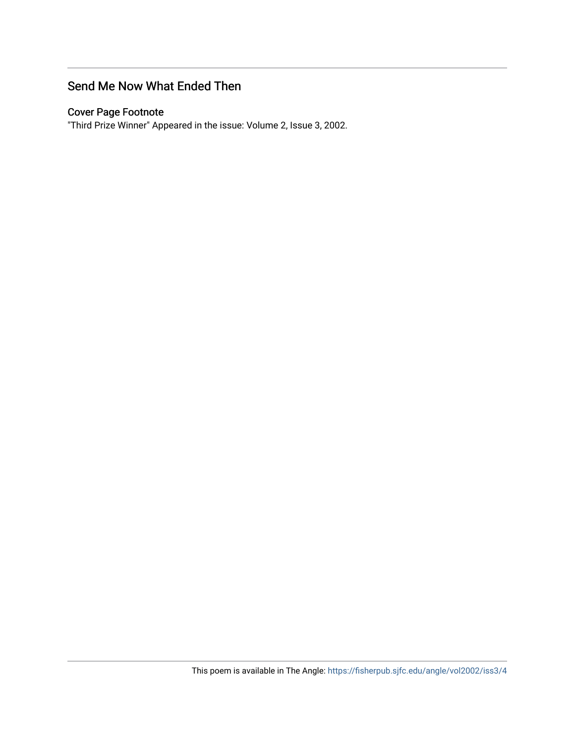#### Send Me Now What Ended Then

#### Cover Page Footnote

"Third Prize Winner" Appeared in the issue: Volume 2, Issue 3, 2002.